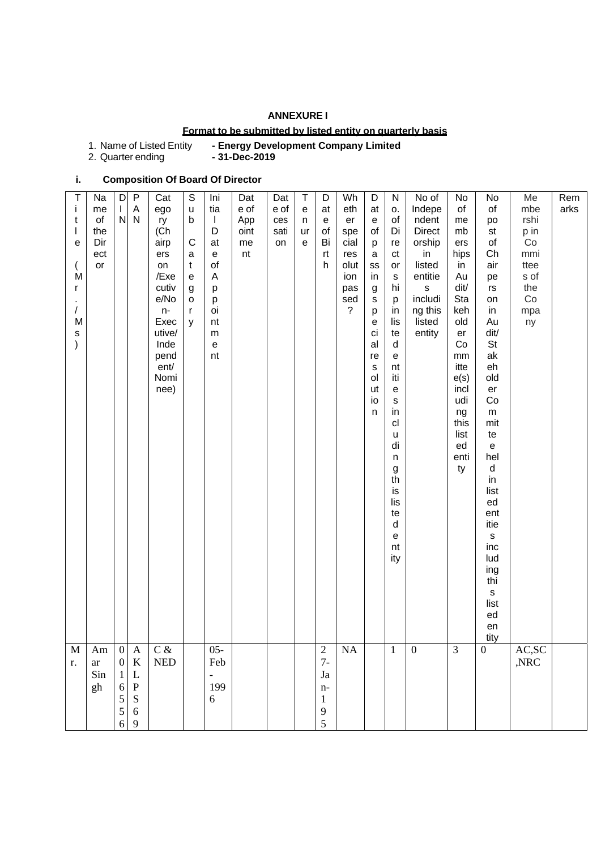### **ANNEXURE I**

### **Format to be submitted by listed entity on quarterly basis**

| 1. Name of Listed Entity | - Energy Development Company Limited |
|--------------------------|--------------------------------------|
|--------------------------|--------------------------------------|

2. Quarter ending **- 31-Dec-2019**

# **i. Composition Of Board Of Director**

| T<br>Ť<br>t<br>T<br>$\mathbf e$<br>M<br>r<br>$\prime$<br>M<br>$\mathsf{s}$<br>$\mathcal{E}$ | Na<br>me<br>of<br>the<br>Dir<br>ect<br>or | D<br>$\mathbf{L}$<br>${\sf N}$                            | $\mathsf{P}$<br>$\mathsf{A}$<br>$\mathsf{N}$                             | Cat<br>ego<br>ry<br>(Ch<br>airp<br>ers<br>on<br>/Exe<br>cutiv<br>e/No<br>n-<br>Exec<br>utive/<br>Inde<br>pend<br>ent/<br>Nomi<br>nee) | $\mathbb S$<br>$\sf u$<br>$\mathsf b$<br>$\mathbf C$<br>a<br>$\mathbf t$<br>$\mathbf e$<br>g<br>o<br>$\mathsf{r}$<br>y | Ini<br>tia<br>$\mathbf{I}$<br>D<br>at<br>${\bf e}$<br>of<br>A<br>p<br>p<br>oi<br>nt<br>m<br>$\mathsf{e}% _{t}\left( t\right)$<br>nt | Dat<br>e of<br>App<br>oint<br>me<br>nt | Dat<br>e of<br>ces<br>sati<br>on | $\sf T$<br>${\bf e}$<br>n<br>ur<br>$\mathbf e$ | D<br>at<br>$\mathbf{e}% _{t}\left( \mathbf{1}_{t}\right)$<br>of<br>Bi<br>rt<br>h | Wh<br>eth<br>er<br>spe<br>cial<br>res<br>olut<br>ion<br>pas<br>sed<br>$\tilde{?}$ | D<br>at<br>${\bf e}$<br>of<br>p<br>$\mathbf a$<br>SS<br>in<br>g<br>S<br>p<br>$\mathbf e$<br>ci<br>al<br>re<br>s<br>ol<br>ut<br>io<br>$\mathsf{n}$ | ${\sf N}$<br>о.<br>of<br>Di<br>re<br>ct<br>or<br>S<br>hi<br>p<br>in<br>lis<br>te<br>$\mathsf{d}$<br>$\mathbf e$<br>nt<br>iti<br>$\mathbf{e}$<br>s<br>in<br>cl<br>u<br>di<br>n<br>g<br>th<br>is<br>lis<br>te<br>d<br>е<br>nt<br>ity | No of<br>Indepe<br>ndent<br><b>Direct</b><br>orship<br>in<br>listed<br>entitie<br>$\sf s$<br>includi<br>ng this<br>listed<br>entity | No<br>of<br>me<br>mb<br>ers<br>hips<br>in<br>Au<br>dit/<br>Sta<br>keh<br>old<br>er<br>Co<br>mm<br>itte<br>e(s)<br>incl<br>udi<br>ng<br>this<br>list<br>ed<br>enti<br>ty | No<br>of<br>po<br>st<br>of<br>Ch<br>air<br>pe<br>$\mathsf{rs}$<br>on<br>in<br>Au<br>dit/<br>St<br>ak<br>eh<br>old<br>$\mathop{\mathsf{er}}$<br>Co<br>${\sf m}$<br>mit<br>te<br>$\mathsf e$<br>hel<br>${\sf d}$<br>in<br>list<br>ed<br>ent<br>itie<br>$\sf{s}$<br>inc<br>lud<br>ing<br>thi<br>$\mathsf{s}$<br>list<br>ed<br>en<br>tity | Me<br>mbe<br>rshi<br>p in<br>Co<br>mmi<br>ttee<br>s of<br>the<br>Co<br>mpa<br>ny | Rem<br>arks |
|---------------------------------------------------------------------------------------------|-------------------------------------------|-----------------------------------------------------------|--------------------------------------------------------------------------|---------------------------------------------------------------------------------------------------------------------------------------|------------------------------------------------------------------------------------------------------------------------|-------------------------------------------------------------------------------------------------------------------------------------|----------------------------------------|----------------------------------|------------------------------------------------|----------------------------------------------------------------------------------|-----------------------------------------------------------------------------------|---------------------------------------------------------------------------------------------------------------------------------------------------|------------------------------------------------------------------------------------------------------------------------------------------------------------------------------------------------------------------------------------|-------------------------------------------------------------------------------------------------------------------------------------|-------------------------------------------------------------------------------------------------------------------------------------------------------------------------|---------------------------------------------------------------------------------------------------------------------------------------------------------------------------------------------------------------------------------------------------------------------------------------------------------------------------------------|----------------------------------------------------------------------------------|-------------|
| M<br>r.                                                                                     | $\rm{Am}$<br>ar<br>Sin<br>gh              | $\boldsymbol{0}$<br>$\mathbf{0}$<br>1<br>6<br>5<br>5<br>6 | A<br>$\bf K$<br>$\mathbf L$<br>${\bf P}$<br>${\bf S}$<br>$\sqrt{6}$<br>9 | $C \&$<br>$\ensuremath{\mathsf{NED}}$                                                                                                 |                                                                                                                        | $05 -$<br>Feb<br>$\overline{\phantom{0}}$<br>199<br>6                                                                               |                                        |                                  |                                                | $\sqrt{2}$<br>$7-$<br>Ja<br>n-<br>$\mathbf{1}$<br>9<br>5                         | $\rm NA$                                                                          |                                                                                                                                                   | $\mathbf{1}$                                                                                                                                                                                                                       | $\boldsymbol{0}$                                                                                                                    | 3                                                                                                                                                                       | $\boldsymbol{0}$                                                                                                                                                                                                                                                                                                                      | AC, SC<br>,NRC                                                                   |             |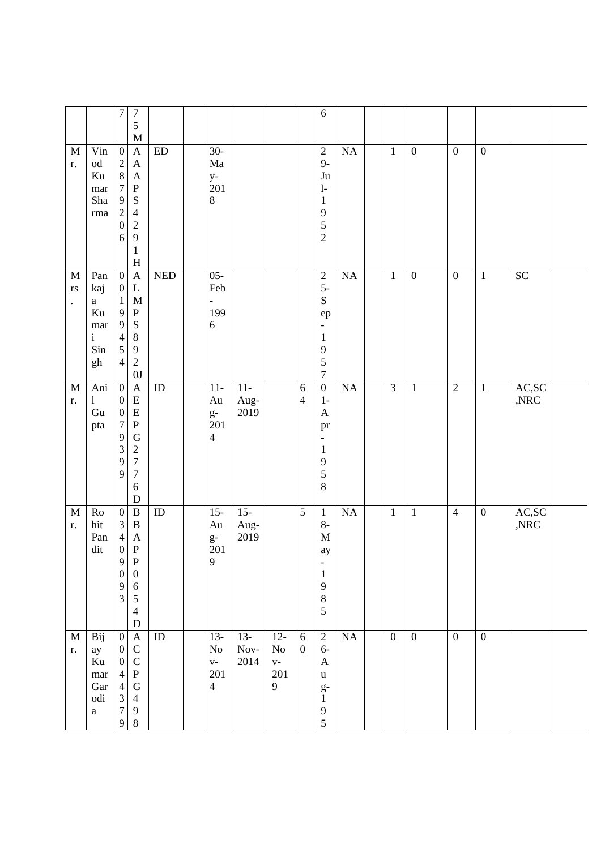|                                          |                                                                      | $\tau$                                                                                                               | $\overline{7}$<br>5<br>M                                                                                                          |                            |                                                       |                        |                                         |                              | $\sqrt{6}$                                                                                                                     |          |                  |                  |                  |                  |                          |  |
|------------------------------------------|----------------------------------------------------------------------|----------------------------------------------------------------------------------------------------------------------|-----------------------------------------------------------------------------------------------------------------------------------|----------------------------|-------------------------------------------------------|------------------------|-----------------------------------------|------------------------------|--------------------------------------------------------------------------------------------------------------------------------|----------|------------------|------------------|------------------|------------------|--------------------------|--|
| $\mathbf{M}$<br>r.                       | Vin<br>$\operatorname{od}$<br>Ku<br>mar<br>Sha<br>$\rm{rma}$         | $\boldsymbol{0}$<br>$\sqrt{2}$<br>$8\,$<br>$\boldsymbol{7}$<br>$\mathbf{9}$<br>$\sqrt{2}$<br>$\boldsymbol{0}$<br>6   | $\mathbf{A}$<br>$\mathbf{A}$<br>$\mathbf{A}$<br>${\bf P}$<br>S<br>$\overline{4}$<br>$\sqrt{2}$<br>9<br>$\,1$<br>H                 | $\mathop{\rm ED}\nolimits$ | $30-$<br>Ma<br>$y-$<br>201<br>$8\,$                   |                        |                                         |                              | $\sqrt{2}$<br>$9-$<br>$\mathrm{J}\mathrm{u}$<br>$\mathbf{l}$<br>$\mathbf{1}$<br>9<br>5<br>$\overline{2}$                       | NA       | $1\,$            | $\boldsymbol{0}$ | $\boldsymbol{0}$ | $\boldsymbol{0}$ |                          |  |
| M<br>$\mathbf{r}\mathbf{s}$<br>$\bullet$ | Pan<br>kaj<br>$\mathbf{a}$<br>Ku<br>mar<br>$\mathbf{i}$<br>Sin<br>gh | $\boldsymbol{0}$<br>$\boldsymbol{0}$<br>$\mathbf{1}$<br>9<br>9<br>$\overline{4}$<br>$\mathfrak{S}$<br>$\overline{4}$ | $\mathbf{A}$<br>$\mathbf{L}$<br>M<br>${\bf P}$<br>$\mathbf S$<br>$\,8\,$<br>9<br>$\sqrt{2}$<br>$0\mathrm{J}$                      | <b>NED</b>                 | $05 -$<br>Feb<br>$\overline{\phantom{a}}$<br>199<br>6 |                        |                                         |                              | $\sqrt{2}$<br>$5-$<br>${\bf S}$<br>${\rm e p}$<br>$\overline{\phantom{a}}$<br>$\mathbf{1}$<br>9<br>5<br>$\overline{7}$         | $\rm NA$ | $\mathbf{1}$     | $\boldsymbol{0}$ | $\boldsymbol{0}$ | $\,1$            | $\overline{SC}$          |  |
| M<br>r.                                  | $An\bar{i}$<br>1<br>Gu<br>pta                                        | $\boldsymbol{0}$<br>$\boldsymbol{0}$<br>$\boldsymbol{0}$<br>$\boldsymbol{7}$<br>9<br>$\mathfrak{Z}$<br>9<br>9        | $\mathbf{A}$<br>${\bf E}$<br>${\bf E}$<br>${\bf P}$<br>G<br>$\overline{c}$<br>$\sqrt{ }$<br>$\boldsymbol{7}$<br>6<br>$\mathbf D$  | $\rm ID$                   | $11-$<br>Au<br>$g\text{-}$<br>201<br>$\overline{4}$   | $11-$<br>Aug-<br>2019  |                                         | $\sqrt{6}$<br>$\overline{4}$ | $\boldsymbol{0}$<br>$1-$<br>$\mathbf{A}$<br>pr<br>$\overline{\phantom{a}}$<br>$\mathbf{1}$<br>$\boldsymbol{9}$<br>5<br>$\,8\,$ | NA       | $\overline{3}$   | $\mathbf{1}$     | $\overline{2}$   | $\mathbf{1}$     | AC, SC<br>$,\!{\rm NRC}$ |  |
| $\mathbf M$<br>r.                        | Ro<br>hit<br>Pan<br>dit                                              | $\boldsymbol{0}$<br>$\mathfrak{Z}$<br>$\overline{4}$<br>$\boldsymbol{0}$<br>9<br>$\boldsymbol{0}$<br>$\frac{9}{3}$   | $\, {\bf B}$<br>B<br>A<br>$\, {\bf P}$<br>$\mathbf P$<br>$\boldsymbol{0}$<br>$\boldsymbol{6}$<br>5<br>$\overline{4}$<br>${\bf D}$ | ID                         | $15 -$<br>Au<br>$g-$<br>201<br>9                      | $15 -$<br>Aug-<br>2019 |                                         | 5                            | $\mathbf{1}$<br>$8-$<br>$\mathbf M$<br>ay<br>$\qquad \qquad -$<br>$\mathbf{1}$<br>$\mathbf{9}$<br>$8\,$<br>5                   | NA       | $\mathbf{1}$     | $1\,$            | $\overline{4}$   | $\boldsymbol{0}$ | AC,SC<br>$,\!{\rm NRC}$  |  |
| M<br>r.                                  | Bij<br>ay<br>$\rm Ku$<br>mar<br>Gar<br>odi<br>$\mathbf{a}$           | $\mathbf{0}$<br>$\boldsymbol{0}$<br>$\boldsymbol{0}$<br>$\overline{4}$<br>$\overline{4}$<br>$rac{3}{7}$<br>9         | $\mathbf A$<br>$\mathbf C$<br>$\mathbf C$<br>${\bf P}$<br>${\bf G}$<br>$\overline{4}$<br>9<br>$\,8\,$                             | ID                         | $13-$<br>$\rm No$<br>$V -$<br>201<br>$\overline{4}$   | $13-$<br>Nov-<br>2014  | $12 -$<br>$\rm No$<br>$V -$<br>201<br>9 | $6\,$<br>$\mathbf{0}$        | $\overline{2}$<br>$6-$<br>$\mathbf{A}$<br>$\mathbf u$<br>$g-$<br>$\mathbf{1}$<br>$\mathbf{9}$<br>5                             | NA       | $\boldsymbol{0}$ | $\boldsymbol{0}$ | $\mathbf{0}$     | $\mathbf{0}$     |                          |  |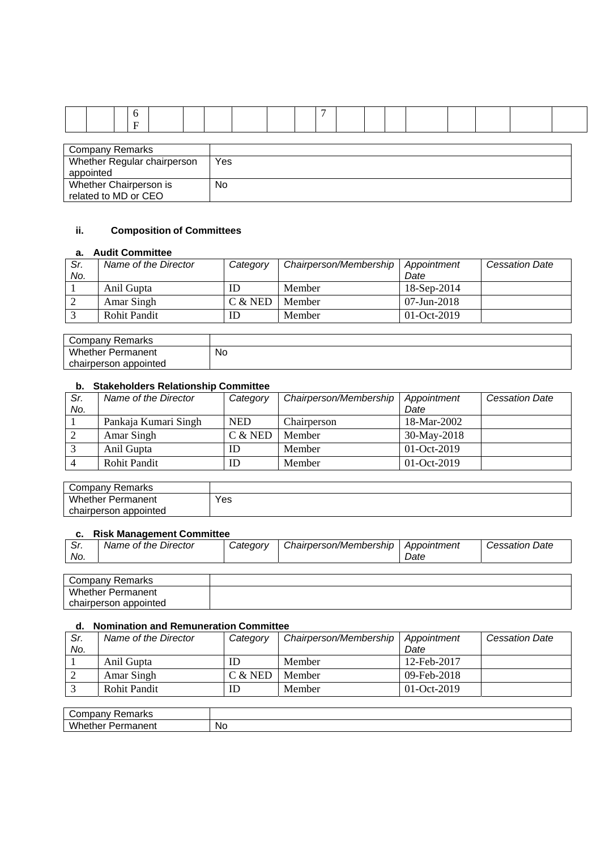| <b>Company Remarks</b>      |     |
|-----------------------------|-----|
| Whether Regular chairperson | Yes |
| appointed                   |     |
| Whether Chairperson is      | No  |
| related to MD or CEO        |     |

### **ii. Composition of Committees**

### **a. Audit Committee**

| Sr.<br>No. | Name of the Director | Category  | Chairperson/Membership | Appointment<br>Date | <b>Cessation Date</b> |
|------------|----------------------|-----------|------------------------|---------------------|-----------------------|
|            | Anil Gupta           | ID        | Member                 | 18-Sep-2014         |                       |
|            | Amar Singh           | $C &$ NED | Member                 | $07 - Jun - 2018$   |                       |
|            | Rohit Pandit         | ΙD        | Member                 | $01-Oct-2019$       |                       |

| Company<br>Remarks       |           |
|--------------------------|-----------|
| <b>Whether Permanent</b> | No.<br>__ |
| chairperson appointed    |           |

## **b. Stakeholders Relationship Committee**

| Sr. | Name of the Director | Category   | Chairperson/Membership | Appointment   | <b>Cessation Date</b> |
|-----|----------------------|------------|------------------------|---------------|-----------------------|
| No. |                      |            |                        | Date          |                       |
|     | Pankaja Kumari Singh | <b>NED</b> | Chairperson            | 18-Mar-2002   |                       |
|     | Amar Singh           | $C &$ NED  | Member                 | 30-May-2018   |                       |
|     | Anil Gupta           | ID         | Member                 | $01-Oct-2019$ |                       |
|     | <b>Rohit Pandit</b>  | ID         | Member                 | $01-Oct-2019$ |                       |

| Company Remarks          |     |
|--------------------------|-----|
| <b>Whether Permanent</b> | Yes |
| chairperson appointed    |     |

### **c. Risk Management Committee**

| Sr.<br>No. | Name of the Director | Category | Chairperson/Membership   Appointment | Date | <b>Cessation Date</b> |
|------------|----------------------|----------|--------------------------------------|------|-----------------------|
|            |                      |          |                                      |      |                       |
|            | Company Remarks      |          |                                      |      |                       |

| Company Remarks          |  |
|--------------------------|--|
| <b>Whether Permanent</b> |  |
| appointed<br>chairperson |  |

### **d. Nomination and Remuneration Committee**

| Sr. | Name of the Director | Category  | Chairperson/Membership | Appointment | <b>Cessation Date</b> |
|-----|----------------------|-----------|------------------------|-------------|-----------------------|
| No. |                      |           |                        | Date        |                       |
|     | Anil Gupta           |           | Member                 | 12-Feb-2017 |                       |
|     | Amar Singh           | $C &$ NED | Member                 | 09-Feb-2018 |                       |
|     | <b>Rohit Pandit</b>  |           | Member                 | 01-Oct-2019 |                       |

| ∽<br>$   -$<br>۱۱a۱ Nu<br>ີ          |     |
|--------------------------------------|-----|
| $\overline{M}$<br>--<br>--<br>.<br>. | No. |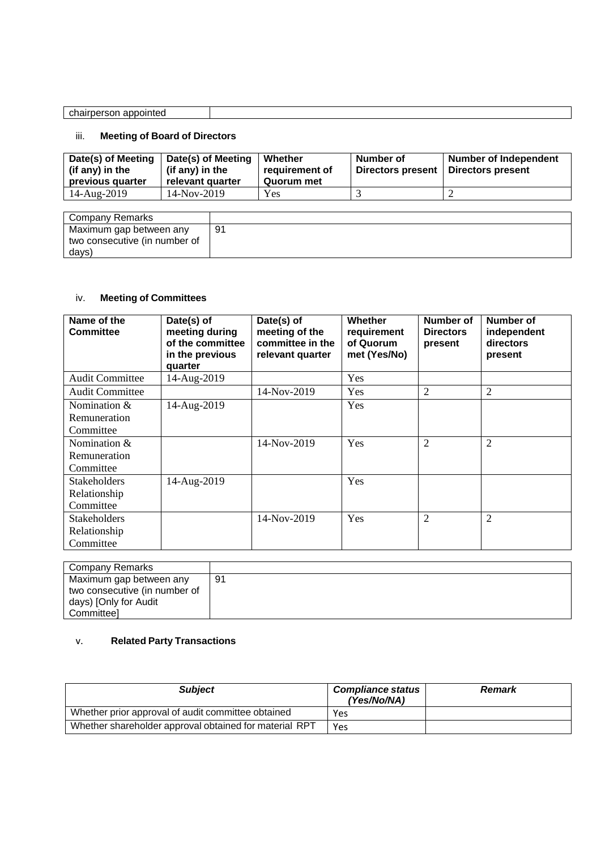| chairperson appointed<br>. |  |
|----------------------------|--|

# iii. **Meeting of Board of Directors**

| Date(s) of Meeting<br>(if any) in the<br>previous quarter | Date(s) of Meeting<br>(if any) in the<br>relevant quarter | Whether<br>requirement of<br>Quorum met | Number of<br>Directors present | <b>Number of Independent</b><br>Directors present |
|-----------------------------------------------------------|-----------------------------------------------------------|-----------------------------------------|--------------------------------|---------------------------------------------------|
| 14-Aug-2019                                               | $14-Nov-2019$                                             | Yes                                     |                                |                                                   |
|                                                           |                                                           |                                         |                                |                                                   |

| <b>Company Remarks</b>        |    |
|-------------------------------|----|
| Maximum gap between any       | g, |
| two consecutive (in number of |    |
| days)                         |    |

# iv. **Meeting of Committees**

| Name of the<br><b>Committee</b> | Date(s) of<br>meeting during<br>of the committee<br>in the previous<br>quarter | Date(s) of<br>meeting of the<br>committee in the<br>relevant quarter | <b>Whether</b><br>requirement<br>of Quorum<br>met (Yes/No) | Number of<br><b>Directors</b><br>present | Number of<br>independent<br>directors<br>present |
|---------------------------------|--------------------------------------------------------------------------------|----------------------------------------------------------------------|------------------------------------------------------------|------------------------------------------|--------------------------------------------------|
| <b>Audit Committee</b>          | 14-Aug-2019                                                                    |                                                                      | Yes                                                        |                                          |                                                  |
| <b>Audit Committee</b>          |                                                                                | 14-Nov-2019                                                          | <b>Yes</b>                                                 | 2                                        | 2                                                |
| Nomination $&$                  | 14-Aug-2019                                                                    |                                                                      | Yes                                                        |                                          |                                                  |
| Remuneration                    |                                                                                |                                                                      |                                                            |                                          |                                                  |
| Committee                       |                                                                                |                                                                      |                                                            |                                          |                                                  |
| Nomination &                    |                                                                                | 14-Nov-2019                                                          | Yes                                                        | $\overline{2}$                           | $\overline{2}$                                   |
| Remuneration                    |                                                                                |                                                                      |                                                            |                                          |                                                  |
| Committee                       |                                                                                |                                                                      |                                                            |                                          |                                                  |
| Stakeholders                    | 14-Aug-2019                                                                    |                                                                      | Yes                                                        |                                          |                                                  |
| Relationship                    |                                                                                |                                                                      |                                                            |                                          |                                                  |
| Committee                       |                                                                                |                                                                      |                                                            |                                          |                                                  |
| <b>Stakeholders</b>             |                                                                                | 14-Nov-2019                                                          | Yes                                                        | $\overline{2}$                           | $\overline{2}$                                   |
| Relationship                    |                                                                                |                                                                      |                                                            |                                          |                                                  |
| Committee                       |                                                                                |                                                                      |                                                            |                                          |                                                  |

| Company Remarks               |    |
|-------------------------------|----|
| Maximum gap between any       | 91 |
| two consecutive (in number of |    |
| days) [Only for Audit         |    |
| Committee]                    |    |

# v. **Related Party Transactions**

| <b>Subject</b>                                         | <b>Compliance status</b><br>'Yes/No/NA) | <b>Remark</b> |
|--------------------------------------------------------|-----------------------------------------|---------------|
| Whether prior approval of audit committee obtained     | Yes                                     |               |
| Whether shareholder approval obtained for material RPT | Yes                                     |               |